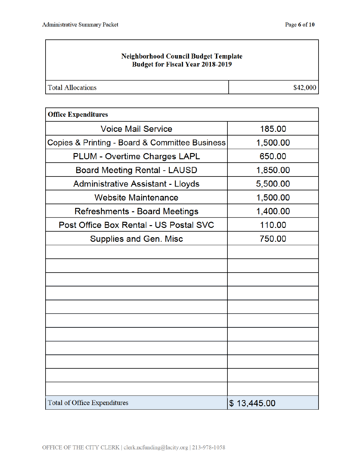## Neighborhood Council Budget Template **Budget for Fiscal Year 2018-2019**

| <b>Total Allocations</b> | \$42,000 |
|--------------------------|----------|
|--------------------------|----------|

| <b>Office Expenditures</b>                     |             |
|------------------------------------------------|-------------|
| <b>Voice Mail Service</b>                      | 185.00      |
| Copies & Printing - Board & Committee Business | 1,500.00    |
| <b>PLUM - Overtime Charges LAPL</b>            | 650.00      |
| <b>Board Meeting Rental - LAUSD</b>            | 1,850.00    |
| <b>Administrative Assistant - Lloyds</b>       | 5,500.00    |
| <b>Website Maintenance</b>                     | 1,500.00    |
| <b>Refreshments - Board Meetings</b>           | 1,400.00    |
| Post Office Box Rental - US Postal SVC         | 110.00      |
| <b>Supplies and Gen. Misc</b>                  | 750.00      |
|                                                |             |
|                                                |             |
|                                                |             |
|                                                |             |
|                                                |             |
|                                                |             |
|                                                |             |
|                                                |             |
|                                                |             |
|                                                |             |
|                                                |             |
| <b>Total of Office Expenditures</b>            | \$13,445.00 |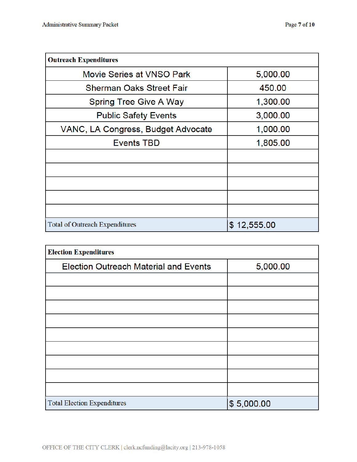| <b>Outreach Expenditures</b>          |             |
|---------------------------------------|-------------|
| Movie Series at VNSO Park             | 5,000.00    |
| <b>Sherman Oaks Street Fair</b>       | 450.00      |
| <b>Spring Tree Give A Way</b>         | 1,300.00    |
| <b>Public Safety Events</b>           | 3,000.00    |
| VANC, LA Congress, Budget Advocate    | 1,000.00    |
| <b>Events TBD</b>                     | 1,805.00    |
|                                       |             |
|                                       |             |
|                                       |             |
|                                       |             |
|                                       |             |
| <b>Total of Outreach Expenditures</b> | \$12,555.00 |

| <b>Election Expenditures</b>                 |            |
|----------------------------------------------|------------|
| <b>Election Outreach Material and Events</b> | 5,000.00   |
|                                              |            |
|                                              |            |
|                                              |            |
|                                              |            |
|                                              |            |
|                                              |            |
|                                              |            |
|                                              |            |
|                                              |            |
| <b>Total Election Expenditures</b>           | \$5,000.00 |